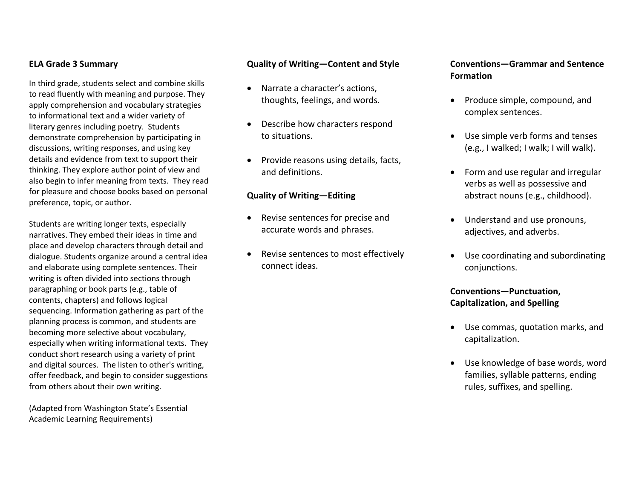#### **ELA Grade 3 Summary**

In third grade, students select and combine skills to read fluently with meaning and purpose. They apply comprehension and vocabulary strategies to informational text and <sup>a</sup> wider variety of literary genres including poetry. Students demonstrate comprehension by participating in discussions, writing responses, and using key details and evidence from text to support their thinking. They explore author point of view and also begin to infer meaning from texts. They read for pleasure and choose books based on personal preference, topic, or author.

Students are writing longer texts, especially narratives. They embed their ideas in time and place and develop characters through detail and dialogue. Students organize around <sup>a</sup> central idea and elaborate using complete sentences. Their writing is often divided into sections through paragraphing or book parts (e.g., table of contents, chapters) and follows logical sequencing. Information gathering as part of the planning process is common, and students are becoming more selective about vocabulary, especially when writing informational texts. They conduct short research using <sup>a</sup> variety of print and digital sources. The listen to other's writing, offer feedback, and begin to consider suggestions from others about their own writing.

(Adapted from Washington State's Essential Academic Learning Requirements)

#### **Quality of Writing—Content and Style**

- 0 Narrate <sup>a</sup> character's actions, thoughts, feelings, and words.
- $\bullet$  Describe how characters respond to situations.
- $\bullet$ • Provide reasons using details, facts, and definitions.

#### **Quality of Writing—Editing**

- Revise sentences for precise and accurate words and phrases.
- 0 Revise sentences to most effectively connect ideas.

### **Conventions—Grammar and Sentence Formation**

- Produce simple, compound, and complex sentences.
- Use simple verb forms and tenses (e.g., I walked; I walk; I will walk).
- Form and use regular and irregular verbs as well as possessive and abstract nouns (e.g., childhood).
- Understand and use pronouns, adjectives, and adverbs.
- Use coordinating and subordinating conjunctions.

## **Conventions—Punctuation, Capitalization, and Spelling**

- Use commas, quotation marks, and capitalization.
- Use knowledge of base words, word families, syllable patterns, ending rules, suffixes, and spelling.